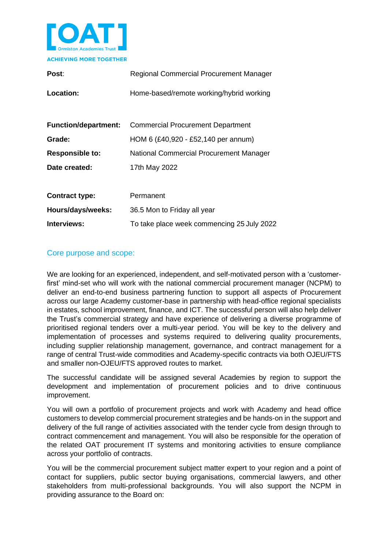

| Post:                       | Regional Commercial Procurement Manager    |  |
|-----------------------------|--------------------------------------------|--|
| Location:                   | Home-based/remote working/hybrid working   |  |
|                             |                                            |  |
| <b>Function/department:</b> | <b>Commercial Procurement Department</b>   |  |
| Grade:                      | HOM 6 (£40,920 - £52,140 per annum)        |  |
| <b>Responsible to:</b>      | National Commercial Procurement Manager    |  |
| Date created:               | 17th May 2022                              |  |
|                             |                                            |  |
| <b>Contract type:</b>       | Permanent                                  |  |
| Hours/days/weeks:           | 36.5 Mon to Friday all year                |  |
| Interviews:                 | To take place week commencing 25 July 2022 |  |

## Core purpose and scope:

We are looking for an experienced, independent, and self-motivated person with a 'customerfirst' mind-set who will work with the national commercial procurement manager (NCPM) to deliver an end-to-end business partnering function to support all aspects of Procurement across our large Academy customer-base in partnership with head-office regional specialists in estates, school improvement, finance, and ICT. The successful person will also help deliver the Trust's commercial strategy and have experience of delivering a diverse programme of prioritised regional tenders over a multi-year period. You will be key to the delivery and implementation of processes and systems required to delivering quality procurements, including supplier relationship management, governance, and contract management for a range of central Trust-wide commodities and Academy-specific contracts via both OJEU/FTS and smaller non-OJEU/FTS approved routes to market.

The successful candidate will be assigned several Academies by region to support the development and implementation of procurement policies and to drive continuous improvement.

You will own a portfolio of procurement projects and work with Academy and head office customers to develop commercial procurement strategies and be hands-on in the support and delivery of the full range of activities associated with the tender cycle from design through to contract commencement and management. You will also be responsible for the operation of the related OAT procurement IT systems and monitoring activities to ensure compliance across your portfolio of contracts.

You will be the commercial procurement subject matter expert to your region and a point of contact for suppliers, public sector buying organisations, commercial lawyers, and other stakeholders from multi-professional backgrounds. You will also support the NCPM in providing assurance to the Board on: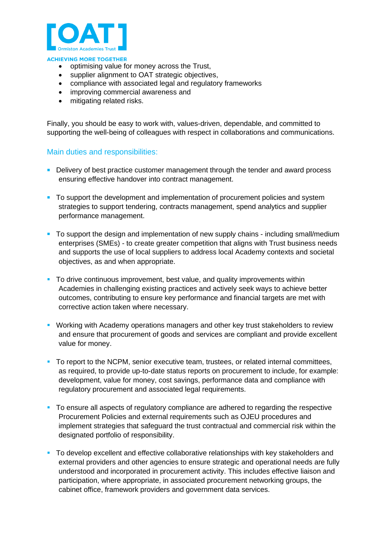

- optimising value for money across the Trust,
- supplier alignment to OAT strategic objectives,
- compliance with associated legal and regulatory frameworks
- improving commercial awareness and
- mitigating related risks.

Finally, you should be easy to work with, values-driven, dependable, and committed to supporting the well-being of colleagues with respect in collaborations and communications.

### Main duties and responsibilities:

- **Delivery of best practice customer management through the tender and award process** ensuring effective handover into contract management.
- To support the development and implementation of procurement policies and system strategies to support tendering, contracts management, spend analytics and supplier performance management.
- To support the design and implementation of new supply chains including small/medium enterprises (SMEs) - to create greater competition that aligns with Trust business needs and supports the use of local suppliers to address local Academy contexts and societal objectives, as and when appropriate.
- To drive continuous improvement, best value, and quality improvements within Academies in challenging existing practices and actively seek ways to achieve better outcomes, contributing to ensure key performance and financial targets are met with corrective action taken where necessary.
- **Working with Academy operations managers and other key trust stakeholders to review** and ensure that procurement of goods and services are compliant and provide excellent value for money.
- To report to the NCPM, senior executive team, trustees, or related internal committees, as required, to provide up-to-date status reports on procurement to include, for example: development, value for money, cost savings, performance data and compliance with regulatory procurement and associated legal requirements.
- To ensure all aspects of regulatory compliance are adhered to regarding the respective Procurement Policies and external requirements such as OJEU procedures and implement strategies that safeguard the trust contractual and commercial risk within the designated portfolio of responsibility.
- To develop excellent and effective collaborative relationships with key stakeholders and external providers and other agencies to ensure strategic and operational needs are fully understood and incorporated in procurement activity. This includes effective liaison and participation, where appropriate, in associated procurement networking groups, the cabinet office, framework providers and government data services.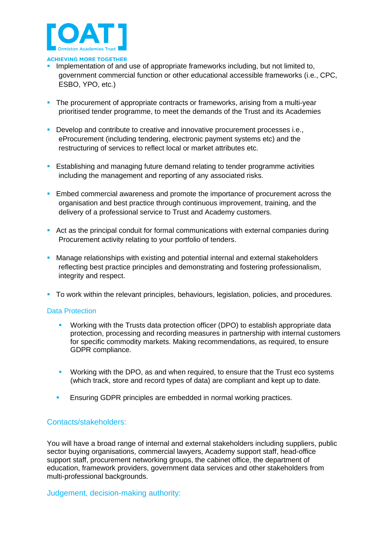

- Implementation of and use of appropriate frameworks including, but not limited to, government commercial function or other educational accessible frameworks (i.e., CPC, ESBO, YPO, etc.)
- **The procurement of appropriate contracts or frameworks, arising from a multi-year** prioritised tender programme, to meet the demands of the Trust and its Academies
- **•** Develop and contribute to creative and innovative procurement processes i.e., eProcurement (including tendering, electronic payment systems etc) and the restructuring of services to reflect local or market attributes etc.
- **EXECT** Establishing and managing future demand relating to tender programme activities including the management and reporting of any associated risks.
- **E** Embed commercial awareness and promote the importance of procurement across the organisation and best practice through continuous improvement, training, and the delivery of a professional service to Trust and Academy customers.
- Act as the principal conduit for formal communications with external companies during Procurement activity relating to your portfolio of tenders.
- **Manage relationships with existing and potential internal and external stakeholders** reflecting best practice principles and demonstrating and fostering professionalism, integrity and respect.
- **•** To work within the relevant principles, behaviours, legislation, policies, and procedures.

### Data Protection

- Working with the Trusts data protection officer (DPO) to establish appropriate data protection, processing and recording measures in partnership with internal customers for specific commodity markets. Making recommendations, as required, to ensure GDPR compliance.
- Working with the DPO, as and when required, to ensure that the Trust eco systems (which track, store and record types of data) are compliant and kept up to date.
- Ensuring GDPR principles are embedded in normal working practices.

### Contacts/stakeholders:

You will have a broad range of internal and external stakeholders including suppliers, public sector buying organisations, commercial lawyers, Academy support staff, head-office support staff, procurement networking groups, the cabinet office, the department of education, framework providers, government data services and other stakeholders from multi-professional backgrounds.

Judgement, decision-making authority: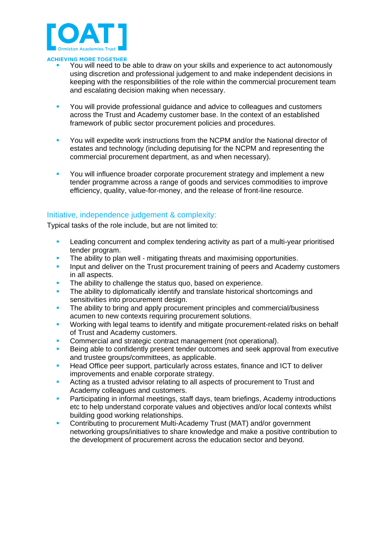

- You will need to be able to draw on your skills and experience to act autonomously using discretion and professional judgement to and make independent decisions in keeping with the responsibilities of the role within the commercial procurement team and escalating decision making when necessary.
- You will provide professional guidance and advice to colleagues and customers across the Trust and Academy customer base. In the context of an established framework of public sector procurement policies and procedures.
- **You will expedite work instructions from the NCPM and/or the National director of** estates and technology (including deputising for the NCPM and representing the commercial procurement department, as and when necessary).
- You will influence broader corporate procurement strategy and implement a new tender programme across a range of goods and services commodities to improve efficiency, quality, value-for-money, and the release of front-line resource.

## Initiative, independence judgement & complexity:

Typical tasks of the role include, but are not limited to:

- Leading concurrent and complex tendering activity as part of a multi-year prioritised tender program.
- The ability to plan well mitigating threats and maximising opportunities.
- **Input and deliver on the Trust procurement training of peers and Academy customers** in all aspects.
- The ability to challenge the status quo, based on experience.
- The ability to diplomatically identify and translate historical shortcomings and sensitivities into procurement design.
- **•** The ability to bring and apply procurement principles and commercial/business acumen to new contexts requiring procurement solutions.
- Working with legal teams to identify and mitigate procurement-related risks on behalf of Trust and Academy customers.
- Commercial and strategic contract management (not operational).
- Being able to confidently present tender outcomes and seek approval from executive and trustee groups/committees, as applicable.
- **EXECT** Head Office peer support, particularly across estates, finance and ICT to deliver improvements and enable corporate strategy.
- **EXECT** Acting as a trusted advisor relating to all aspects of procurement to Trust and Academy colleagues and customers.
- Participating in informal meetings, staff days, team briefings, Academy introductions etc to help understand corporate values and objectives and/or local contexts whilst building good working relationships.
- Contributing to procurement Multi-Academy Trust (MAT) and/or government networking groups/initiatives to share knowledge and make a positive contribution to the development of procurement across the education sector and beyond.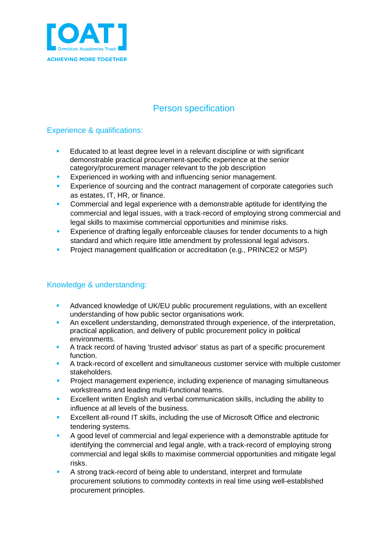

# Person specification

## Experience & qualifications:

- **EXECUCATED EDUCATES 1** Educated to at least degree level in a relevant discipline or with significant demonstrable practical procurement-specific experience at the senior category/procurement manager relevant to the job description
- **EXperienced in working with and influencing senior management.**
- Experience of sourcing and the contract management of corporate categories such as estates, IT, HR, or finance.
- Commercial and legal experience with a demonstrable aptitude for identifying the commercial and legal issues, with a track-record of employing strong commercial and legal skills to maximise commercial opportunities and minimise risks.
- **Experience of drafting legally enforceable clauses for tender documents to a high** standard and which require little amendment by professional legal advisors.
- **•** Project management qualification or accreditation (e.g., PRINCE2 or MSP)

## Knowledge & understanding:

- Advanced knowledge of UK/EU public procurement regulations, with an excellent understanding of how public sector organisations work.
- **EXECTED An excellent understanding, demonstrated through experience, of the interpretation,** practical application, and delivery of public procurement policy in political environments.
- A track record of having 'trusted advisor' status as part of a specific procurement function.
- **A track-record of excellent and simultaneous customer service with multiple customer** stakeholders.
- **Project management experience, including experience of managing simultaneous** workstreams and leading multi-functional teams.
- **EXCELLENT IS EXCELLENT ENGILSH** and verbal communication skills, including the ability to influence at all levels of the business.
- **EXCELLENT ALL-TOUS IT SKILLS, including the use of Microsoft Office and electronic** tendering systems.
- A good level of commercial and legal experience with a demonstrable aptitude for identifying the commercial and legal angle, with a track-record of employing strong commercial and legal skills to maximise commercial opportunities and mitigate legal risks.
- A strong track-record of being able to understand, interpret and formulate procurement solutions to commodity contexts in real time using well-established procurement principles.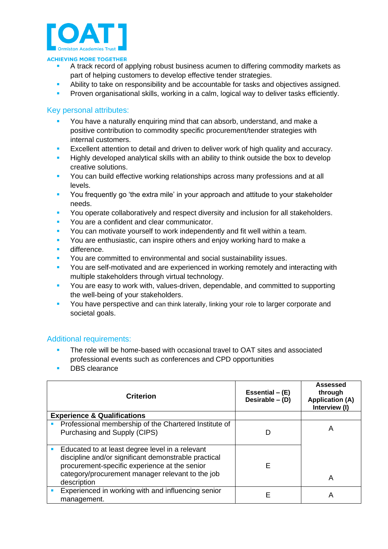

- A track record of applying robust business acumen to differing commodity markets as part of helping customers to develop effective tender strategies.
- Ability to take on responsibility and be accountable for tasks and objectives assigned.
- **Proven organisational skills, working in a calm, logical way to deliver tasks efficiently.**

## Key personal attributes:

- You have a naturally enquiring mind that can absorb, understand, and make a positive contribution to commodity specific procurement/tender strategies with internal customers.
- Excellent attention to detail and driven to deliver work of high quality and accuracy.
- **EXT** Highly developed analytical skills with an ability to think outside the box to develop creative solutions.
- **You can build effective working relationships across many professions and at all** levels.
- **•** You frequently go 'the extra mile' in your approach and attitude to your stakeholder needs.
- **You operate collaboratively and respect diversity and inclusion for all stakeholders.**
- You are a confident and clear communicator.
- You can motivate yourself to work independently and fit well within a team.
- **You are enthusiastic, can inspire others and enjoy working hard to make a**
- difference.
- You are committed to environmental and social sustainability issues.
- You are self-motivated and are experienced in working remotely and interacting with multiple stakeholders through virtual technology.
- You are easy to work with, values-driven, dependable, and committed to supporting the well-being of your stakeholders.
- You have perspective and can think laterally, linking your role to larger corporate and societal goals.

### Additional requirements:

- **The role will be home-based with occasional travel to OAT sites and associated** professional events such as conferences and CPD opportunities
- DBS clearance

| <b>Criterion</b>                                                                                                                                                                                                            | Essential $-$ (E)<br>Desirable $-$ (D) | Assessed<br>through<br><b>Application (A)</b><br>Interview (I) |
|-----------------------------------------------------------------------------------------------------------------------------------------------------------------------------------------------------------------------------|----------------------------------------|----------------------------------------------------------------|
| <b>Experience &amp; Qualifications</b>                                                                                                                                                                                      |                                        |                                                                |
| Professional membership of the Chartered Institute of<br>Purchasing and Supply (CIPS)                                                                                                                                       | D                                      | А                                                              |
| Educated to at least degree level in a relevant<br>discipline and/or significant demonstrable practical<br>procurement-specific experience at the senior<br>category/procurement manager relevant to the job<br>description | Е                                      | Α                                                              |
| Experienced in working with and influencing senior<br>management.                                                                                                                                                           | Е                                      | А                                                              |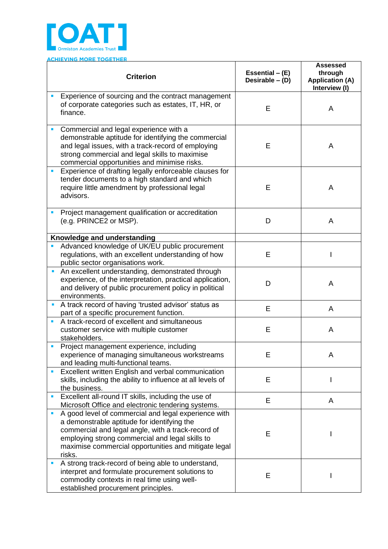

|    | <b>ACHIEVING MORE TOGETHER</b>                                                                                                                                                                                                                                                 |                                      |                                                                       |
|----|--------------------------------------------------------------------------------------------------------------------------------------------------------------------------------------------------------------------------------------------------------------------------------|--------------------------------------|-----------------------------------------------------------------------|
|    | <b>Criterion</b>                                                                                                                                                                                                                                                               | Essential $-$ (E)<br>Desirable - (D) | <b>Assessed</b><br>through<br><b>Application (A)</b><br>Interview (I) |
|    | Experience of sourcing and the contract management<br>of corporate categories such as estates, IT, HR, or<br>finance.                                                                                                                                                          | E                                    | A                                                                     |
|    | Commercial and legal experience with a<br>demonstrable aptitude for identifying the commercial<br>and legal issues, with a track-record of employing<br>strong commercial and legal skills to maximise<br>commercial opportunities and minimise risks.                         | E                                    | A                                                                     |
| Ē, | Experience of drafting legally enforceable clauses for<br>tender documents to a high standard and which<br>require little amendment by professional legal<br>advisors.                                                                                                         | E                                    | Α                                                                     |
| П  | Project management qualification or accreditation<br>(e.g. PRINCE2 or MSP).                                                                                                                                                                                                    | D                                    | A                                                                     |
|    | <b>Knowledge and understanding</b>                                                                                                                                                                                                                                             |                                      |                                                                       |
|    | Advanced knowledge of UK/EU public procurement<br>regulations, with an excellent understanding of how<br>public sector organisations work.                                                                                                                                     | E                                    |                                                                       |
| E  | An excellent understanding, demonstrated through<br>experience, of the interpretation, practical application,<br>and delivery of public procurement policy in political<br>environments.                                                                                       | D                                    | A                                                                     |
| I. | A track record of having 'trusted advisor' status as<br>part of a specific procurement function.                                                                                                                                                                               | E                                    | A                                                                     |
|    | A track-record of excellent and simultaneous<br>customer service with multiple customer<br>stakeholders.                                                                                                                                                                       | Е                                    | A                                                                     |
|    | Project management experience, including<br>experience of managing simultaneous workstreams<br>and leading multi-functional teams.                                                                                                                                             | E                                    | A                                                                     |
| a, | Excellent written English and verbal communication<br>skills, including the ability to influence at all levels of<br>the business.                                                                                                                                             | E                                    |                                                                       |
| п  | Excellent all-round IT skills, including the use of<br>Microsoft Office and electronic tendering systems.                                                                                                                                                                      | E                                    | A                                                                     |
| п  | A good level of commercial and legal experience with<br>a demonstrable aptitude for identifying the<br>commercial and legal angle, with a track-record of<br>employing strong commercial and legal skills to<br>maximise commercial opportunities and mitigate legal<br>risks. | E                                    |                                                                       |
| I. | A strong track-record of being able to understand,<br>interpret and formulate procurement solutions to<br>commodity contexts in real time using well-<br>established procurement principles.                                                                                   | Е                                    |                                                                       |